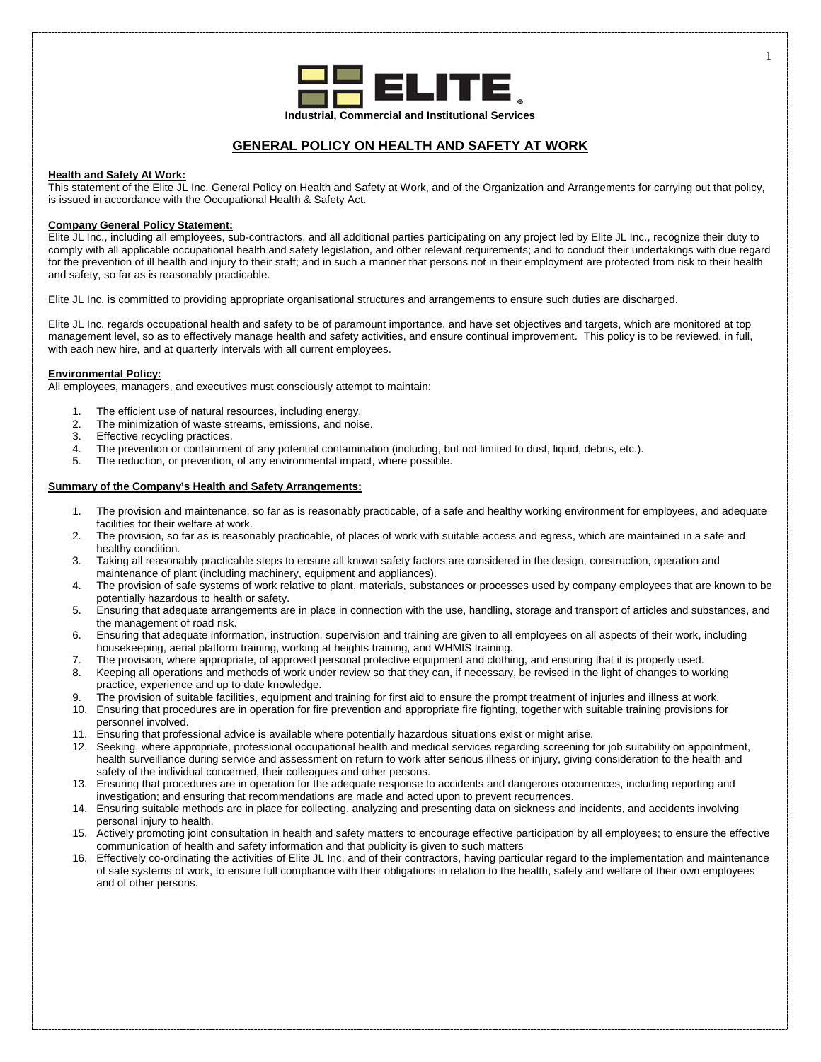

# **GENERAL POLICY ON HEALTH AND SAFETY AT WORK**

# **Health and Safety At Work:**

This statement of the Elite JL Inc. General Policy on Health and Safety at Work, and of the Organization and Arrangements for carrying out that policy, is issued in accordance with the Occupational Health & Safety Act.

# **Company General Policy Statement:**

Elite JL Inc., including all employees, sub-contractors, and all additional parties participating on any project led by Elite JL Inc., recognize their duty to comply with all applicable occupational health and safety legislation, and other relevant requirements; and to conduct their undertakings with due regard for the prevention of ill health and injury to their staff; and in such a manner that persons not in their employment are protected from risk to their health and safety, so far as is reasonably practicable.

Elite JL Inc. is committed to providing appropriate organisational structures and arrangements to ensure such duties are discharged.

Elite JL Inc. regards occupational health and safety to be of paramount importance, and have set objectives and targets, which are monitored at top management level, so as to effectively manage health and safety activities, and ensure continual improvement. This policy is to be reviewed, in full, with each new hire, and at quarterly intervals with all current employees.

# **Environmental Policy:**

All employees, managers, and executives must consciously attempt to maintain:

- 1. The efficient use of natural resources, including energy.
- 2. The minimization of waste streams, emissions, and noise.
- 3. Effective recycling practices.
- 4. The prevention or containment of any potential contamination (including, but not limited to dust, liquid, debris, etc.).<br>5. The reduction, or prevention, of any environmental impact, where possible.
- The reduction, or prevention, of any environmental impact, where possible.

### **Summary of the Company's Health and Safety Arrangements:**

- 1. The provision and maintenance, so far as is reasonably practicable, of a safe and healthy working environment for employees, and adequate facilities for their welfare at work.
- 2. The provision, so far as is reasonably practicable, of places of work with suitable access and egress, which are maintained in a safe and healthy condition.
- 3. Taking all reasonably practicable steps to ensure all known safety factors are considered in the design, construction, operation and maintenance of plant (including machinery, equipment and appliances).
- 4. The provision of safe systems of work relative to plant, materials, substances or processes used by company employees that are known to be potentially hazardous to health or safety.
- 5. Ensuring that adequate arrangements are in place in connection with the use, handling, storage and transport of articles and substances, and the management of road risk.
- 6. Ensuring that adequate information, instruction, supervision and training are given to all employees on all aspects of their work, including housekeeping, aerial platform training, working at heights training, and WHMIS training.
- 7. The provision, where appropriate, of approved personal protective equipment and clothing, and ensuring that it is properly used.
- 8. Keeping all operations and methods of work under review so that they can, if necessary, be revised in the light of changes to working practice, experience and up to date knowledge.
- The provision of suitable facilities, equipment and training for first aid to ensure the prompt treatment of injuries and illness at work.
- 10. Ensuring that procedures are in operation for fire prevention and appropriate fire fighting, together with suitable training provisions for personnel involved.
- 11. Ensuring that professional advice is available where potentially hazardous situations exist or might arise.
- 12. Seeking, where appropriate, professional occupational health and medical services regarding screening for job suitability on appointment, health surveillance during service and assessment on return to work after serious illness or injury, giving consideration to the health and safety of the individual concerned, their colleagues and other persons.
- 13. Ensuring that procedures are in operation for the adequate response to accidents and dangerous occurrences, including reporting and investigation; and ensuring that recommendations are made and acted upon to prevent recurrences.
- 14. Ensuring suitable methods are in place for collecting, analyzing and presenting data on sickness and incidents, and accidents involving personal injury to health.
- 15. Actively promoting joint consultation in health and safety matters to encourage effective participation by all employees; to ensure the effective communication of health and safety information and that publicity is given to such matters
- 16. Effectively co-ordinating the activities of Elite JL Inc. and of their contractors, having particular regard to the implementation and maintenance of safe systems of work, to ensure full compliance with their obligations in relation to the health, safety and welfare of their own employees and of other persons.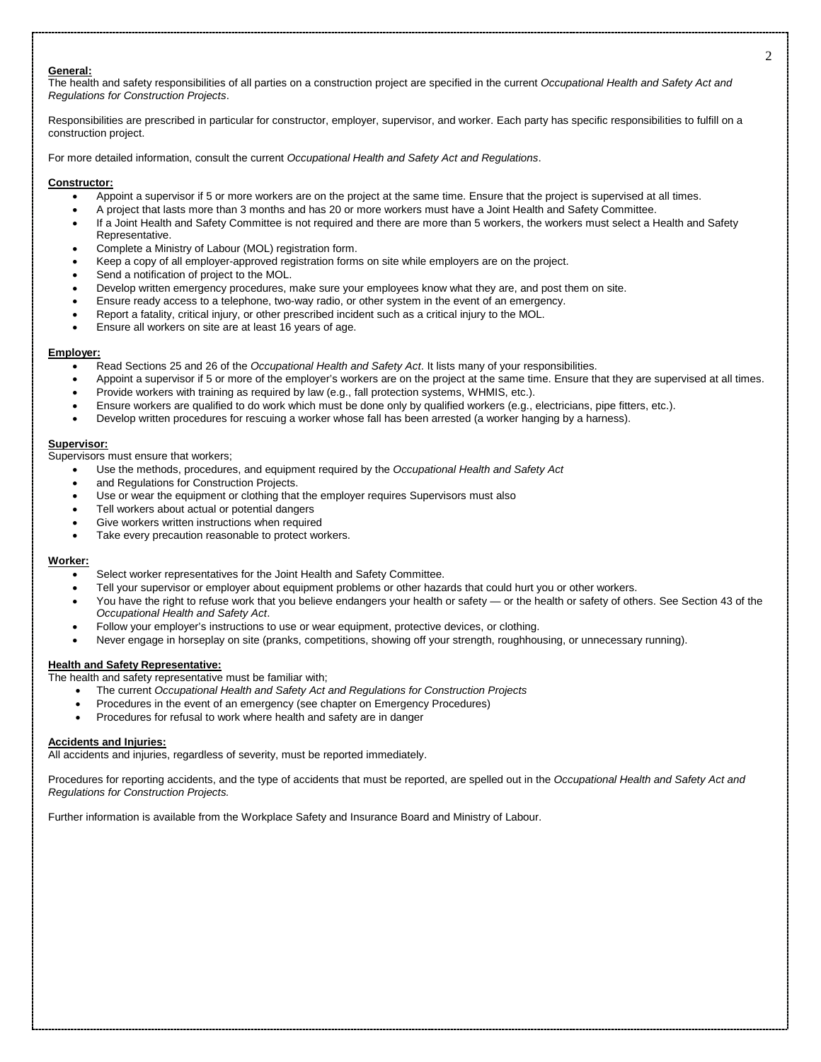## **General:**

The health and safety responsibilities of all parties on a construction project are specified in the current *Occupational Health and Safety Act and Regulations for Construction Projects*.

Responsibilities are prescribed in particular for constructor, employer, supervisor, and worker. Each party has specific responsibilities to fulfill on a construction project.

For more detailed information, consult the current *Occupational Health and Safety Act and Regulations*.

# **Constructor:**

- Appoint a supervisor if 5 or more workers are on the project at the same time. Ensure that the project is supervised at all times.
- A project that lasts more than 3 months and has 20 or more workers must have a Joint Health and Safety Committee.
- If a Joint Health and Safety Committee is not required and there are more than 5 workers, the workers must select a Health and Safety Representative.
- Complete a Ministry of Labour (MOL) registration form.
- Keep a copy of all employer-approved registration forms on site while employers are on the project.
- Send a notification of project to the MOL.
- Develop written emergency procedures, make sure your employees know what they are, and post them on site.
- Ensure ready access to a telephone, two-way radio, or other system in the event of an emergency.
- Report a fatality, critical injury, or other prescribed incident such as a critical injury to the MOL.
- Ensure all workers on site are at least 16 years of age.

#### **Employer:**

- Read Sections 25 and 26 of the *Occupational Health and Safety Act*. It lists many of your responsibilities.
- Appoint a supervisor if 5 or more of the employer's workers are on the project at the same time. Ensure that they are supervised at all times.
- Provide workers with training as required by law (e.g., fall protection systems, WHMIS, etc.).
- Ensure workers are qualified to do work which must be done only by qualified workers (e.g., electricians, pipe fitters, etc.).
- Develop written procedures for rescuing a worker whose fall has been arrested (a worker hanging by a harness).

#### **Supervisor:**

Supervisors must ensure that workers;

- Use the methods, procedures, and equipment required by the *Occupational Health and Safety Act*
- and Regulations for Construction Projects.
- Use or wear the equipment or clothing that the employer requires Supervisors must also
- Tell workers about actual or potential dangers
- Give workers written instructions when required
- Take every precaution reasonable to protect workers.

#### **Worker:**

- Select worker representatives for the Joint Health and Safety Committee.
- Tell your supervisor or employer about equipment problems or other hazards that could hurt you or other workers.
- You have the right to refuse work that you believe endangers your health or safety or the health or safety of others. See Section 43 of the *Occupational Health and Safety Act*.
- Follow your employer's instructions to use or wear equipment, protective devices, or clothing.
- Never engage in horseplay on site (pranks, competitions, showing off your strength, roughhousing, or unnecessary running).

# **Health and Safety Representative:**

The health and safety representative must be familiar with;

- The current *Occupational Health and Safety Act and Regulations for Construction Projects*
- Procedures in the event of an emergency (see chapter on Emergency Procedures)
- Procedures for refusal to work where health and safety are in danger

# **Accidents and Injuries:**

All accidents and injuries, regardless of severity, must be reported immediately.

Procedures for reporting accidents, and the type of accidents that must be reported, are spelled out in the *Occupational Health and Safety Act and Regulations for Construction Projects.*

Further information is available from the Workplace Safety and Insurance Board and Ministry of Labour.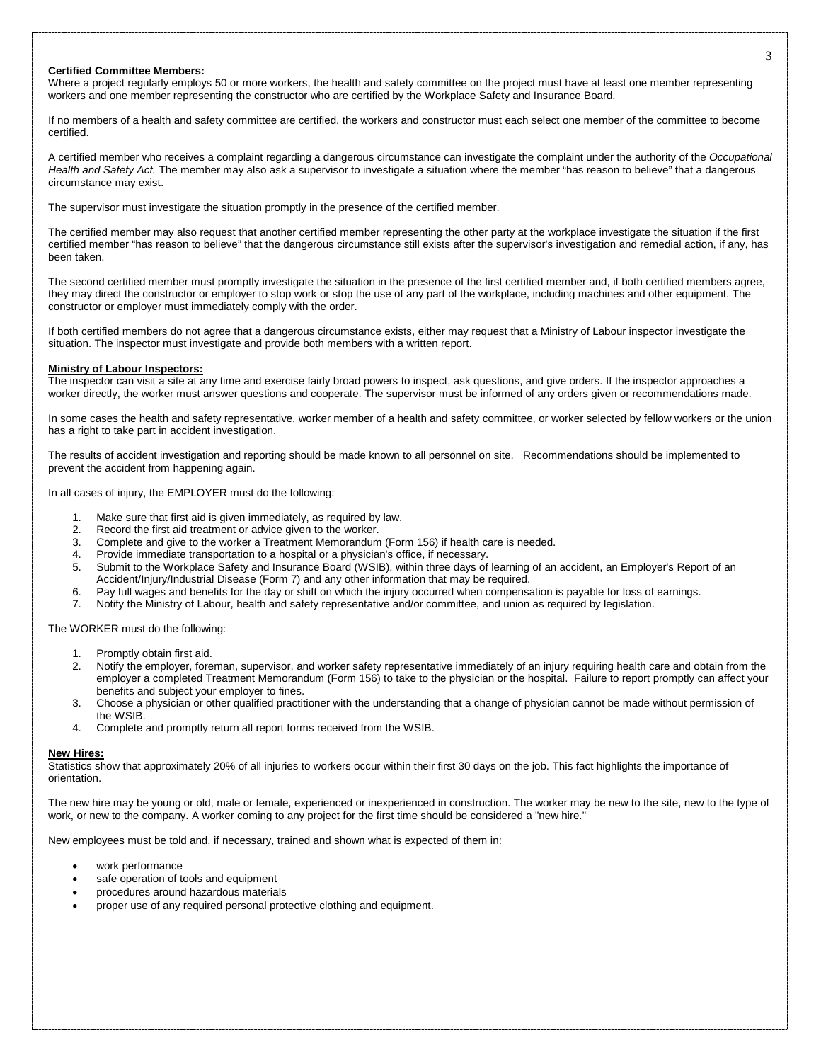# **Certified Committee Members:**

Where a project regularly employs 50 or more workers, the health and safety committee on the project must have at least one member representing workers and one member representing the constructor who are certified by the Workplace Safety and Insurance Board.

If no members of a health and safety committee are certified, the workers and constructor must each select one member of the committee to become certified.

A certified member who receives a complaint regarding a dangerous circumstance can investigate the complaint under the authority of the *Occupational Health and Safety Act.* The member may also ask a supervisor to investigate a situation where the member "has reason to believe" that a dangerous circumstance may exist.

The supervisor must investigate the situation promptly in the presence of the certified member.

The certified member may also request that another certified member representing the other party at the workplace investigate the situation if the first certified member "has reason to believe" that the dangerous circumstance still exists after the supervisor's investigation and remedial action, if any, has been taken.

The second certified member must promptly investigate the situation in the presence of the first certified member and, if both certified members agree, they may direct the constructor or employer to stop work or stop the use of any part of the workplace, including machines and other equipment. The constructor or employer must immediately comply with the order.

If both certified members do not agree that a dangerous circumstance exists, either may request that a Ministry of Labour inspector investigate the situation. The inspector must investigate and provide both members with a written report.

#### **Ministry of Labour Inspectors:**

The inspector can visit a site at any time and exercise fairly broad powers to inspect, ask questions, and give orders. If the inspector approaches a worker directly, the worker must answer questions and cooperate. The supervisor must be informed of any orders given or recommendations made.

In some cases the health and safety representative, worker member of a health and safety committee, or worker selected by fellow workers or the union has a right to take part in accident investigation.

The results of accident investigation and reporting should be made known to all personnel on site. Recommendations should be implemented to prevent the accident from happening again.

In all cases of injury, the EMPLOYER must do the following:

- 1. Make sure that first aid is given immediately, as required by law.
- 2. Record the first aid treatment or advice given to the worker.
- 3. Complete and give to the worker a Treatment Memorandum (Form 156) if health care is needed.
- 4. Provide immediate transportation to a hospital or a physician's office, if necessary.
- 5. Submit to the Workplace Safety and Insurance Board (WSIB), within three days of learning of an accident, an Employer's Report of an Accident/Injury/Industrial Disease (Form 7) and any other information that may be required.
- 6. Pay full wages and benefits for the day or shift on which the injury occurred when compensation is payable for loss of earnings.
- 7. Notify the Ministry of Labour, health and safety representative and/or committee, and union as required by legislation.

The WORKER must do the following:

- 1. Promptly obtain first aid.<br>2. Notify the employer, fore
- 2. Notify the employer, foreman, supervisor, and worker safety representative immediately of an injury requiring health care and obtain from the employer a completed Treatment Memorandum (Form 156) to take to the physician or the hospital. Failure to report promptly can affect your benefits and subject your employer to fines.
- 3. Choose a physician or other qualified practitioner with the understanding that a change of physician cannot be made without permission of the WSIB.
- 4. Complete and promptly return all report forms received from the WSIB.

#### **New Hires:**

Statistics show that approximately 20% of all injuries to workers occur within their first 30 days on the job. This fact highlights the importance of orientation.

The new hire may be young or old, male or female, experienced or inexperienced in construction. The worker may be new to the site, new to the type of work, or new to the company. A worker coming to any project for the first time should be considered a "new hire."

New employees must be told and, if necessary, trained and shown what is expected of them in:

- work performance
- safe operation of tools and equipment
- procedures around hazardous materials
- proper use of any required personal protective clothing and equipment.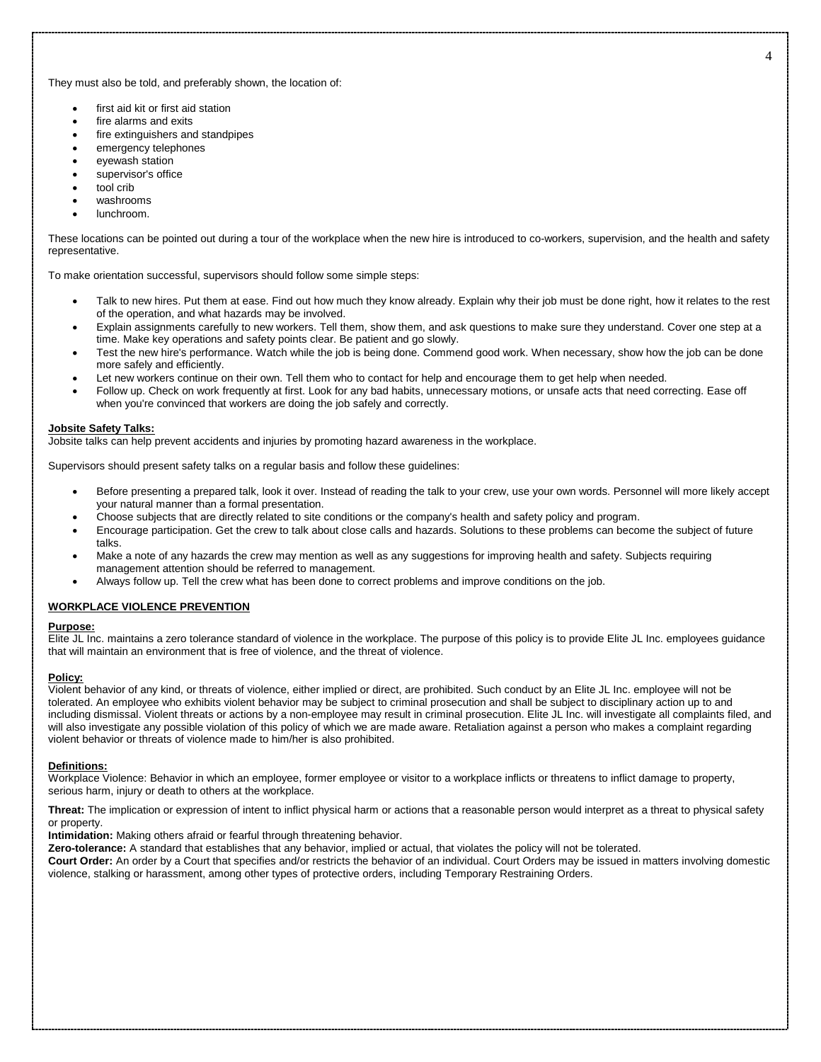They must also be told, and preferably shown, the location of:

- first aid kit or first aid station
- fire alarms and exits
- fire extinguishers and standpipes
- emergency telephones
- eyewash station
- supervisor's office
- tool crib
- washrooms
- lunchroom.

These locations can be pointed out during a tour of the workplace when the new hire is introduced to co-workers, supervision, and the health and safety representative.

To make orientation successful, supervisors should follow some simple steps:

- Talk to new hires. Put them at ease. Find out how much they know already. Explain why their job must be done right, how it relates to the rest of the operation, and what hazards may be involved.
- Explain assignments carefully to new workers. Tell them, show them, and ask questions to make sure they understand. Cover one step at a time. Make key operations and safety points clear. Be patient and go slowly.
- Test the new hire's performance. Watch while the job is being done. Commend good work. When necessary, show how the job can be done more safely and efficiently.
- Let new workers continue on their own. Tell them who to contact for help and encourage them to get help when needed.
- Follow up. Check on work frequently at first. Look for any bad habits, unnecessary motions, or unsafe acts that need correcting. Ease off when you're convinced that workers are doing the job safely and correctly.

# **Jobsite Safety Talks:**

Jobsite talks can help prevent accidents and injuries by promoting hazard awareness in the workplace.

Supervisors should present safety talks on a regular basis and follow these guidelines:

- Before presenting a prepared talk, look it over. Instead of reading the talk to your crew, use your own words. Personnel will more likely accept your natural manner than a formal presentation.
- Choose subjects that are directly related to site conditions or the company's health and safety policy and program.
- Encourage participation. Get the crew to talk about close calls and hazards. Solutions to these problems can become the subject of future talks.
- Make a note of any hazards the crew may mention as well as any suggestions for improving health and safety. Subjects requiring management attention should be referred to management.
- Always follow up. Tell the crew what has been done to correct problems and improve conditions on the job.

# **WORKPLACE VIOLENCE PREVENTION**

#### **Purpose:**

Elite JL Inc. maintains a zero tolerance standard of violence in the workplace. The purpose of this policy is to provide Elite JL Inc. employees guidance that will maintain an environment that is free of violence, and the threat of violence.

#### **Policy:**

Violent behavior of any kind, or threats of violence, either implied or direct, are prohibited. Such conduct by an Elite JL Inc. employee will not be tolerated. An employee who exhibits violent behavior may be subject to criminal prosecution and shall be subject to disciplinary action up to and including dismissal. Violent threats or actions by a non-employee may result in criminal prosecution. Elite JL Inc. will investigate all complaints filed, and will also investigate any possible violation of this policy of which we are made aware. Retaliation against a person who makes a complaint regarding violent behavior or threats of violence made to him/her is also prohibited.

#### **Definitions:**

Workplace Violence: Behavior in which an employee, former employee or visitor to a workplace inflicts or threatens to inflict damage to property, serious harm, injury or death to others at the workplace.

**Threat:** The implication or expression of intent to inflict physical harm or actions that a reasonable person would interpret as a threat to physical safety or property.

**Intimidation:** Making others afraid or fearful through threatening behavior.

**Zero-tolerance:** A standard that establishes that any behavior, implied or actual, that violates the policy will not be tolerated.

**Court Order:** An order by a Court that specifies and/or restricts the behavior of an individual. Court Orders may be issued in matters involving domestic violence, stalking or harassment, among other types of protective orders, including Temporary Restraining Orders.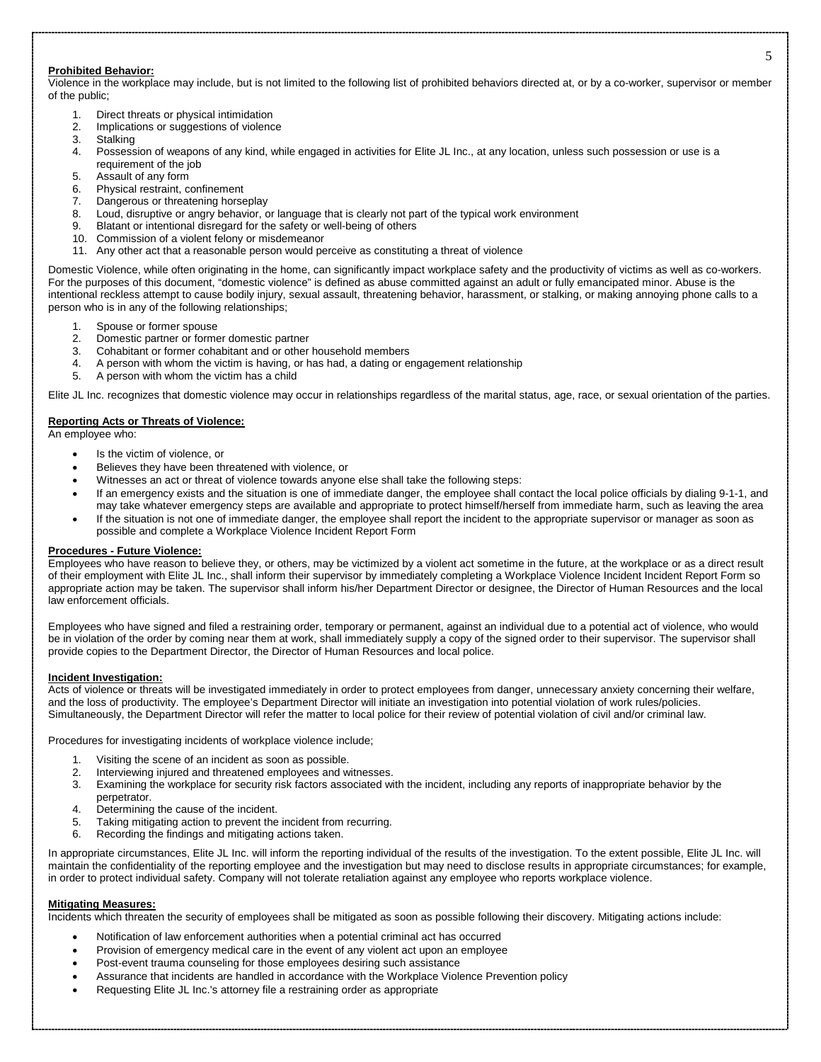### **Prohibited Behavior:**

Violence in the workplace may include, but is not limited to the following list of prohibited behaviors directed at, or by a co-worker, supervisor or member of the public;

- 1. Direct threats or physical intimidation
- 2. Implications or suggestions of violence<br>3. Stalking
- 3. Stalking<br>4. Possess
- Possession of weapons of any kind, while engaged in activities for Elite JL Inc., at any location, unless such possession or use is a requirement of the job
- 5. Assault of any form
- 6. Physical restraint, confinement
- 7. Dangerous or threatening horseplay<br>8. Loud, disruptive or angry behavior, o
- Loud, disruptive or angry behavior, or language that is clearly not part of the typical work environment
- 9. Blatant or intentional disregard for the safety or well-being of others
- 10. Commission of a violent felony or misdemeanor
- 11. Any other act that a reasonable person would perceive as constituting a threat of violence

Domestic Violence, while often originating in the home, can significantly impact workplace safety and the productivity of victims as well as co-workers. For the purposes of this document, "domestic violence" is defined as abuse committed against an adult or fully emancipated minor. Abuse is the intentional reckless attempt to cause bodily injury, sexual assault, threatening behavior, harassment, or stalking, or making annoying phone calls to a person who is in any of the following relationships;

- 1. Spouse or former spouse
- 2. Domestic partner or former domestic partner
- 3. Cohabitant or former cohabitant and or other household members
- 4. A person with whom the victim is having, or has had, a dating or engagement relationship
- 5. A person with whom the victim has a child

Elite JL Inc. recognizes that domestic violence may occur in relationships regardless of the marital status, age, race, or sexual orientation of the parties.

# **Reporting Acts or Threats of Violence:**

An employee who:

- Is the victim of violence, or
- Believes they have been threatened with violence, or
- Witnesses an act or threat of violence towards anyone else shall take the following steps:
- If an emergency exists and the situation is one of immediate danger, the employee shall contact the local police officials by dialing 9-1-1, and may take whatever emergency steps are available and appropriate to protect himself/herself from immediate harm, such as leaving the area
- If the situation is not one of immediate danger, the employee shall report the incident to the appropriate supervisor or manager as soon as possible and complete a Workplace Violence Incident Report Form

## **Procedures - Future Violence:**

Employees who have reason to believe they, or others, may be victimized by a violent act sometime in the future, at the workplace or as a direct result of their employment with Elite JL Inc., shall inform their supervisor by immediately completing a Workplace Violence Incident Incident Report Form so appropriate action may be taken. The supervisor shall inform his/her Department Director or designee, the Director of Human Resources and the local law enforcement officials.

Employees who have signed and filed a restraining order, temporary or permanent, against an individual due to a potential act of violence, who would be in violation of the order by coming near them at work, shall immediately supply a copy of the signed order to their supervisor. The supervisor shall provide copies to the Department Director, the Director of Human Resources and local police.

#### **Incident Investigation:**

Acts of violence or threats will be investigated immediately in order to protect employees from danger, unnecessary anxiety concerning their welfare, and the loss of productivity. The employee's Department Director will initiate an investigation into potential violation of work rules/policies. Simultaneously, the Department Director will refer the matter to local police for their review of potential violation of civil and/or criminal law.

Procedures for investigating incidents of workplace violence include;

- 1. Visiting the scene of an incident as soon as possible.
- 2. Interviewing injured and threatened employees and witnesses.
- 3. Examining the workplace for security risk factors associated with the incident, including any reports of inappropriate behavior by the perpetrator.
- 4. Determining the cause of the incident.<br>5. Taking mitigating action to prevent the
- Taking mitigating action to prevent the incident from recurring.
- 6. Recording the findings and mitigating actions taken.

In appropriate circumstances, Elite JL Inc. will inform the reporting individual of the results of the investigation. To the extent possible, Elite JL Inc. will maintain the confidentiality of the reporting employee and the investigation but may need to disclose results in appropriate circumstances; for example, in order to protect individual safety. Company will not tolerate retaliation against any employee who reports workplace violence.

# **Mitigating Measures:**

Incidents which threaten the security of employees shall be mitigated as soon as possible following their discovery. Mitigating actions include:

- Notification of law enforcement authorities when a potential criminal act has occurred
- Provision of emergency medical care in the event of any violent act upon an employee
- Post-event trauma counseling for those employees desiring such assistance
- Assurance that incidents are handled in accordance with the Workplace Violence Prevention policy
- Requesting Elite JL Inc.'s attorney file a restraining order as appropriate